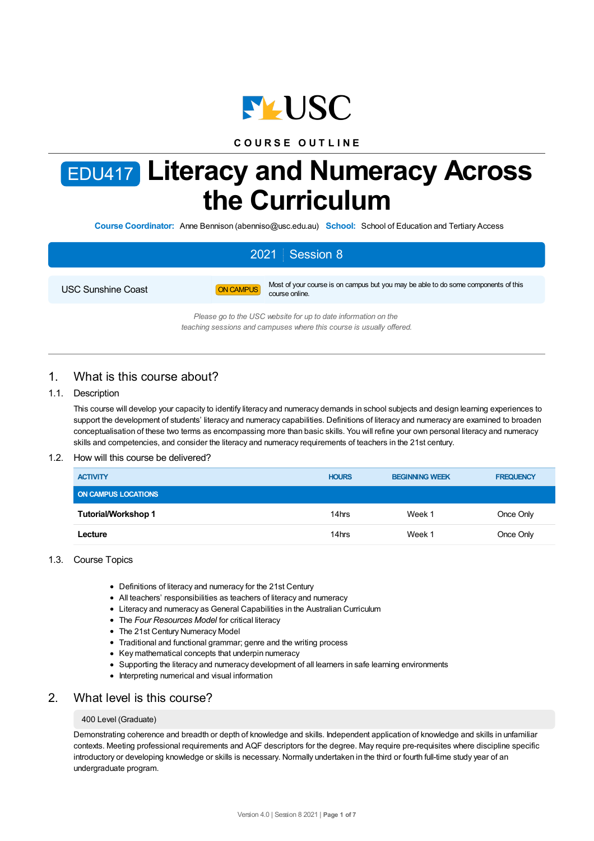

## **C O U R S E O U T L I N E**

# EDU417 **Literacy and Numeracy Across the Curriculum**

**Course Coordinator:** Anne Bennison (abenniso@usc.edu.au) **School:** School of Education and Tertiary Access

# 2021 Session 8 USC Sunshine Coast **ON CAMPUS** Most of your course is on campus but you may be able to do some components of this course online. *Please go to the USC website for up to date information on the*

*teaching sessions and campuses where this course is usually offered.*

## 1. What is this course about?

## 1.1. Description

This course will develop your capacity to identify literacy and numeracy demands in school subjects and design learning experiences to support the development of students' literacy and numeracy capabilities. Definitions of literacy and numeracy are examined to broaden conceptualisation of these two terms as encompassing more than basic skills. You will refine your own personal literacy and numeracy skills and competencies, and consider the literacy and numeracy requirements of teachers in the 21st century.

### 1.2. How will this course be delivered?

| <b>ACTIVITY</b>            | <b>HOURS</b> | <b>BEGINNING WEEK</b> | <b>FREQUENCY</b> |
|----------------------------|--------------|-----------------------|------------------|
| <b>ON CAMPUS LOCATIONS</b> |              |                       |                  |
| Tutorial/Workshop 1        | 14hrs        | Week 1                | Once Only        |
| Lecture                    | 14hrs        | Week 1                | Once Only        |

#### 1.3. Course Topics

- Definitions of literacy and numeracy for the 21st Century
- All teachers' responsibilities as teachers of literacy and numeracy
- Literacy and numeracy as General Capabilities in the Australian Curriculum
- The *Four Resources Model* for critical literacy
- The 21st Century Numeracy Model
- Traditional and functional grammar; genre and the writing process
- Key mathematical concepts that underpin numeracy
- Supporting the literacy and numeracy development of all learners in safe learning environments
- Interpreting numerical and visual information

## 2. What level is this course?

#### 400 Level (Graduate)

Demonstrating coherence and breadth or depth of knowledge and skills. Independent application of knowledge and skills in unfamiliar contexts. Meeting professional requirements and AQF descriptors for the degree. May require pre-requisites where discipline specific introductory or developing knowledge or skills is necessary. Normally undertaken in the third or fourth full-time study year of an undergraduate program.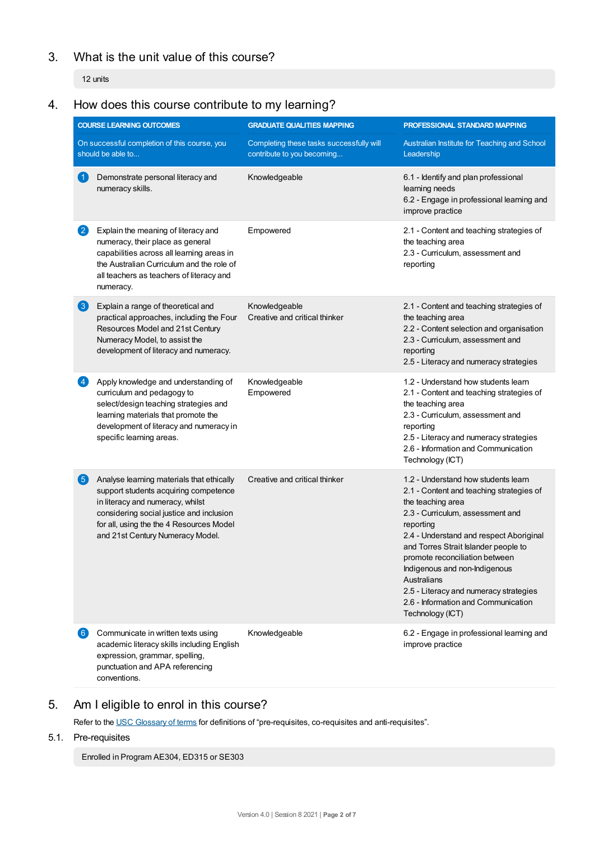## 3. What is the unit value of this course?

12 units

## 4. How does this course contribute to my learning?

|                        | <b>COURSE LEARNING OUTCOMES</b>                                                                                                                                                                                                                    | <b>GRADUATE QUALITIES MAPPING</b>                                      | PROFESSIONAL STANDARD MAPPING                                                                                                                                                                                                                                                                                                                                                                                                   |
|------------------------|----------------------------------------------------------------------------------------------------------------------------------------------------------------------------------------------------------------------------------------------------|------------------------------------------------------------------------|---------------------------------------------------------------------------------------------------------------------------------------------------------------------------------------------------------------------------------------------------------------------------------------------------------------------------------------------------------------------------------------------------------------------------------|
|                        | On successful completion of this course, you<br>should be able to                                                                                                                                                                                  | Completing these tasks successfully will<br>contribute to you becoming | Australian Institute for Teaching and School<br>Leadership                                                                                                                                                                                                                                                                                                                                                                      |
| $\blacktriangleleft$   | Demonstrate personal literacy and<br>numeracy skills.                                                                                                                                                                                              | Knowledgeable                                                          | 6.1 - Identify and plan professional<br>learning needs<br>6.2 - Engage in professional learning and<br>improve practice                                                                                                                                                                                                                                                                                                         |
| $\mathbf{2}$           | Explain the meaning of literacy and<br>numeracy, their place as general<br>capabilities across all learning areas in<br>the Australian Curriculum and the role of<br>all teachers as teachers of literacy and<br>numeracy.                         | Empowered                                                              | 2.1 - Content and teaching strategies of<br>the teaching area<br>2.3 - Curriculum, assessment and<br>reporting                                                                                                                                                                                                                                                                                                                  |
| $\left 3\right\rangle$ | Explain a range of theoretical and<br>practical approaches, including the Four<br>Resources Model and 21st Century<br>Numeracy Model, to assist the<br>development of literacy and numeracy.                                                       | Knowledgeable<br>Creative and critical thinker                         | 2.1 - Content and teaching strategies of<br>the teaching area<br>2.2 - Content selection and organisation<br>2.3 - Curriculum, assessment and<br>reporting<br>2.5 - Literacy and numeracy strategies                                                                                                                                                                                                                            |
| $\vert 4 \vert$        | Apply knowledge and understanding of<br>curriculum and pedagogy to<br>select/design teaching strategies and<br>learning materials that promote the<br>development of literacy and numeracy in<br>specific learning areas.                          | Knowledgeable<br>Empowered                                             | 1.2 - Understand how students learn<br>2.1 - Content and teaching strategies of<br>the teaching area<br>2.3 - Curriculum, assessment and<br>reporting<br>2.5 - Literacy and numeracy strategies<br>2.6 - Information and Communication<br>Technology (ICT)                                                                                                                                                                      |
| 5)                     | Analyse learning materials that ethically<br>support students acquiring competence<br>in literacy and numeracy, whilst<br>considering social justice and inclusion<br>for all, using the the 4 Resources Model<br>and 21st Century Numeracy Model. | Creative and critical thinker                                          | 1.2 - Understand how students learn<br>2.1 - Content and teaching strategies of<br>the teaching area<br>2.3 - Curriculum, assessment and<br>reporting<br>2.4 - Understand and respect Aboriginal<br>and Torres Strait Islander people to<br>promote reconciliation between<br>Indigenous and non-Indigenous<br>Australians<br>2.5 - Literacy and numeracy strategies<br>2.6 - Information and Communication<br>Technology (ICT) |
| 6)                     | Communicate in written texts using<br>academic literacy skills including English<br>expression, grammar, spelling,<br>punctuation and APA referencing<br>conventions.                                                                              | Knowledgeable                                                          | 6.2 - Engage in professional learning and<br>improve practice                                                                                                                                                                                                                                                                                                                                                                   |

## 5. Am I eligible to enrol in this course?

Refer to the USC [Glossary](https://www.usc.edu.au/about/policies-and-procedures/glossary-of-terms-for-policy-and-procedures) of terms for definitions of "pre-requisites, co-requisites and anti-requisites".

## 5.1. Pre-requisites

Enrolled in Program AE304, ED315 or SE303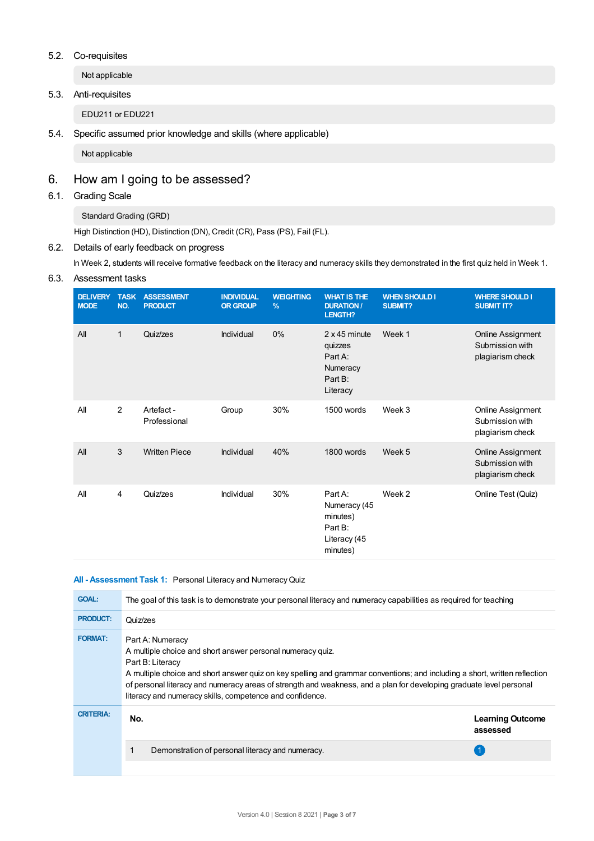## 5.2. Co-requisites

Not applicable

## 5.3. Anti-requisites

EDU211 or EDU221

5.4. Specific assumed prior knowledge and skills (where applicable)

Not applicable

## 6. How am Igoing to be assessed?

## 6.1. Grading Scale

Standard Grading (GRD)

High Distinction (HD), Distinction (DN), Credit (CR), Pass (PS), Fail (FL).

## 6.2. Details of early feedback on progress

In Week 2, students will receive formative feedback on the literacy and numeracy skills they demonstrated in the first quiz held in Week 1.

## 6.3. Assessment tasks

| <b>DELIVERY</b><br><b>MODE</b> | <b>TASK</b><br>NO. | <b>ASSESSMENT</b><br><b>PRODUCT</b> | <b>INDIVIDUAL</b><br><b>OR GROUP</b> | <b>WEIGHTING</b><br>% | <b>WHAT IS THE</b><br><b>DURATION /</b><br>LENGTH?                            | <b>WHEN SHOULD I</b><br><b>SUBMIT?</b> | <b>WHERE SHOULD I</b><br><b>SUBMIT IT?</b>                      |
|--------------------------------|--------------------|-------------------------------------|--------------------------------------|-----------------------|-------------------------------------------------------------------------------|----------------------------------------|-----------------------------------------------------------------|
| All                            | $\mathbf{1}$       | Quiz/zes                            | Individual                           | $0\%$                 | $2 \times 45$ minute<br>quizzes<br>Part A:<br>Numeracy<br>Part B:<br>Literacy | Week 1                                 | <b>Online Assignment</b><br>Submission with<br>plagiarism check |
| All                            | 2                  | Artefact -<br>Professional          | Group                                | 30%                   | 1500 words                                                                    | Week 3                                 | Online Assignment<br>Submission with<br>plagiarism check        |
| All                            | $\sqrt{3}$         | <b>Written Piece</b>                | Individual                           | 40%                   | 1800 words                                                                    | Week 5                                 | <b>Online Assignment</b><br>Submission with<br>plagiarism check |
| All                            | 4                  | Quiz/zes                            | Individual                           | 30%                   | Part A:<br>Numeracy (45<br>minutes)<br>Part B:<br>Literacy (45<br>minutes)    | Week 2                                 | Online Test (Quiz)                                              |

#### **All - Assessment Task 1:** Personal Literacy and NumeracyQuiz

| <b>GOAL:</b>     | The goal of this task is to demonstrate your personal literacy and numeracy capabilities as required for teaching                                                                                                                                                                                                                                                                                                   |                                     |  |  |  |
|------------------|---------------------------------------------------------------------------------------------------------------------------------------------------------------------------------------------------------------------------------------------------------------------------------------------------------------------------------------------------------------------------------------------------------------------|-------------------------------------|--|--|--|
| <b>PRODUCT:</b>  | Quiz/zes                                                                                                                                                                                                                                                                                                                                                                                                            |                                     |  |  |  |
| <b>FORMAT:</b>   | Part A: Numeracy<br>A multiple choice and short answer personal numeracy quiz.<br>Part B: Literacy<br>A multiple choice and short answer quiz on key spelling and grammar conventions; and including a short, written reflection<br>of personal literacy and numeracy areas of strength and weakness, and a plan for developing graduate level personal<br>literacy and numeracy skills, competence and confidence. |                                     |  |  |  |
| <b>CRITERIA:</b> | No.                                                                                                                                                                                                                                                                                                                                                                                                                 | <b>Learning Outcome</b><br>assessed |  |  |  |
|                  | Demonstration of personal literacy and numeracy.                                                                                                                                                                                                                                                                                                                                                                    |                                     |  |  |  |
|                  |                                                                                                                                                                                                                                                                                                                                                                                                                     |                                     |  |  |  |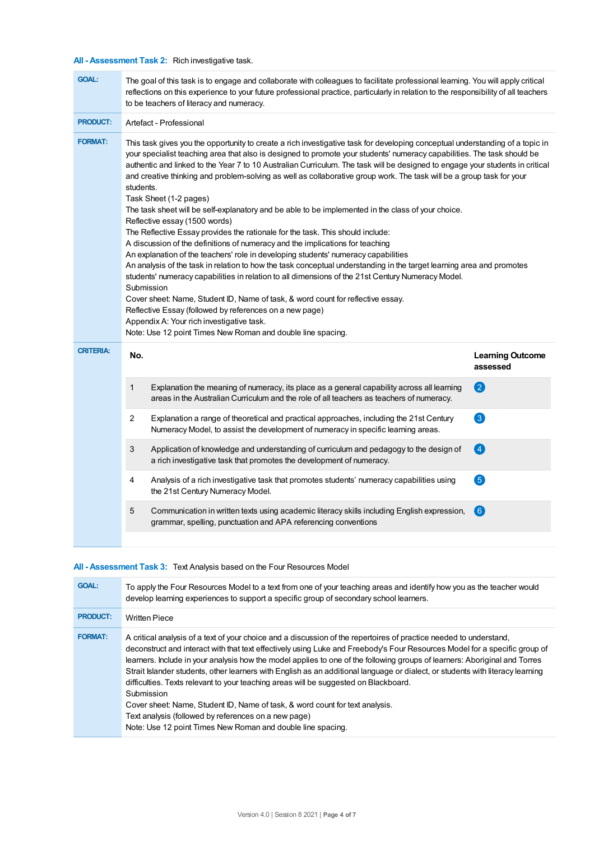## **All - Assessment Task 2:** Rich investigative task.

| <b>GOAL:</b>     | The goal of this task is to engage and collaborate with colleagues to facilitate professional learning. You will apply critical<br>reflections on this experience to your future professional practice, particularly in relation to the responsibility of all teachers<br>to be teachers of literacy and numeracy.                                                                                                                                                                                                                                                                                                                                                                                                                                                                                                                                                                                                                                                                                                                                                                                                                                                                                                                                                                                                                                                                                                                                              |                                                                                                                                                                                        |                                     |  |  |  |
|------------------|-----------------------------------------------------------------------------------------------------------------------------------------------------------------------------------------------------------------------------------------------------------------------------------------------------------------------------------------------------------------------------------------------------------------------------------------------------------------------------------------------------------------------------------------------------------------------------------------------------------------------------------------------------------------------------------------------------------------------------------------------------------------------------------------------------------------------------------------------------------------------------------------------------------------------------------------------------------------------------------------------------------------------------------------------------------------------------------------------------------------------------------------------------------------------------------------------------------------------------------------------------------------------------------------------------------------------------------------------------------------------------------------------------------------------------------------------------------------|----------------------------------------------------------------------------------------------------------------------------------------------------------------------------------------|-------------------------------------|--|--|--|
| <b>PRODUCT:</b>  | Artefact - Professional                                                                                                                                                                                                                                                                                                                                                                                                                                                                                                                                                                                                                                                                                                                                                                                                                                                                                                                                                                                                                                                                                                                                                                                                                                                                                                                                                                                                                                         |                                                                                                                                                                                        |                                     |  |  |  |
| <b>FORMAT:</b>   | This task gives you the opportunity to create a rich investigative task for developing conceptual understanding of a topic in<br>your specialist teaching area that also is designed to promote your students' numeracy capabilities. The task should be<br>authentic and linked to the Year 7 to 10 Australian Curriculum. The task will be designed to engage your students in critical<br>and creative thinking and problem-solving as well as collaborative group work. The task will be a group task for your<br>students.<br>Task Sheet (1-2 pages)<br>The task sheet will be self-explanatory and be able to be implemented in the class of your choice.<br>Reflective essay (1500 words)<br>The Reflective Essay provides the rationale for the task. This should include:<br>A discussion of the definitions of numeracy and the implications for teaching<br>An explanation of the teachers' role in developing students' numeracy capabilities<br>An analysis of the task in relation to how the task conceptual understanding in the target learning area and promotes<br>students' numeracy capabilities in relation to all dimensions of the 21st Century Numeracy Model.<br>Submission<br>Cover sheet: Name, Student ID, Name of task, & word count for reflective essay.<br>Reflective Essay (followed by references on a new page)<br>Appendix A: Your rich investigative task.<br>Note: Use 12 point Times New Roman and double line spacing. |                                                                                                                                                                                        |                                     |  |  |  |
| <b>CRITERIA:</b> | No.                                                                                                                                                                                                                                                                                                                                                                                                                                                                                                                                                                                                                                                                                                                                                                                                                                                                                                                                                                                                                                                                                                                                                                                                                                                                                                                                                                                                                                                             |                                                                                                                                                                                        | <b>Learning Outcome</b><br>assessed |  |  |  |
|                  | 1                                                                                                                                                                                                                                                                                                                                                                                                                                                                                                                                                                                                                                                                                                                                                                                                                                                                                                                                                                                                                                                                                                                                                                                                                                                                                                                                                                                                                                                               | Explanation the meaning of numeracy, its place as a general capability across all learning<br>areas in the Australian Curriculum and the role of all teachers as teachers of numeracy. | 2                                   |  |  |  |
|                  | 2                                                                                                                                                                                                                                                                                                                                                                                                                                                                                                                                                                                                                                                                                                                                                                                                                                                                                                                                                                                                                                                                                                                                                                                                                                                                                                                                                                                                                                                               | Explanation a range of theoretical and practical approaches, including the 21st Century<br>Numeracy Model, to assist the development of numeracy in specific learning areas.           | 3                                   |  |  |  |
|                  | 3                                                                                                                                                                                                                                                                                                                                                                                                                                                                                                                                                                                                                                                                                                                                                                                                                                                                                                                                                                                                                                                                                                                                                                                                                                                                                                                                                                                                                                                               | Application of knowledge and understanding of curriculum and pedagogy to the design of<br>a rich investigative task that promotes the development of numeracy.                         | $\boldsymbol{A}$                    |  |  |  |
|                  | 4                                                                                                                                                                                                                                                                                                                                                                                                                                                                                                                                                                                                                                                                                                                                                                                                                                                                                                                                                                                                                                                                                                                                                                                                                                                                                                                                                                                                                                                               | Analysis of a rich investigative task that promotes students' numeracy capabilities using<br>the 21st Century Numeracy Model.                                                          | 6                                   |  |  |  |
|                  | 5                                                                                                                                                                                                                                                                                                                                                                                                                                                                                                                                                                                                                                                                                                                                                                                                                                                                                                                                                                                                                                                                                                                                                                                                                                                                                                                                                                                                                                                               | Communication in written texts using academic literacy skills including English expression,<br>grammar, spelling, punctuation and APA referencing conventions                          | 6                                   |  |  |  |
|                  |                                                                                                                                                                                                                                                                                                                                                                                                                                                                                                                                                                                                                                                                                                                                                                                                                                                                                                                                                                                                                                                                                                                                                                                                                                                                                                                                                                                                                                                                 |                                                                                                                                                                                        |                                     |  |  |  |

## **All - Assessment Task 3:** Text Analysis based on the Four Resources Model

| <b>GOAL:</b>    | To apply the Four Resources Model to a text from one of your teaching areas and identify how you as the teacher would<br>develop learning experiences to support a specific group of secondary school learners.                                                                                                                                                                                                                                                                                                                                                                                                                                                                                                                                                                                                               |
|-----------------|-------------------------------------------------------------------------------------------------------------------------------------------------------------------------------------------------------------------------------------------------------------------------------------------------------------------------------------------------------------------------------------------------------------------------------------------------------------------------------------------------------------------------------------------------------------------------------------------------------------------------------------------------------------------------------------------------------------------------------------------------------------------------------------------------------------------------------|
| <b>PRODUCT:</b> | <b>Written Piece</b>                                                                                                                                                                                                                                                                                                                                                                                                                                                                                                                                                                                                                                                                                                                                                                                                          |
| <b>FORMAT:</b>  | A critical analysis of a text of your choice and a discussion of the repertoires of practice needed to understand,<br>deconstruct and interact with that text effectively using Luke and Freebody's Four Resources Model for a specific group of<br>learners. Include in your analysis how the model applies to one of the following groups of learners: Aboriginal and Torres<br>Strait Islander students, other learners with English as an additional language or dialect, or students with literacy learning<br>difficulties. Texts relevant to your teaching areas will be suggested on Blackboard.<br>Submission<br>Cover sheet: Name, Student ID, Name of task, & word count for text analysis.<br>Text analysis (followed by references on a new page)<br>Note: Use 12 point Times New Roman and double line spacing. |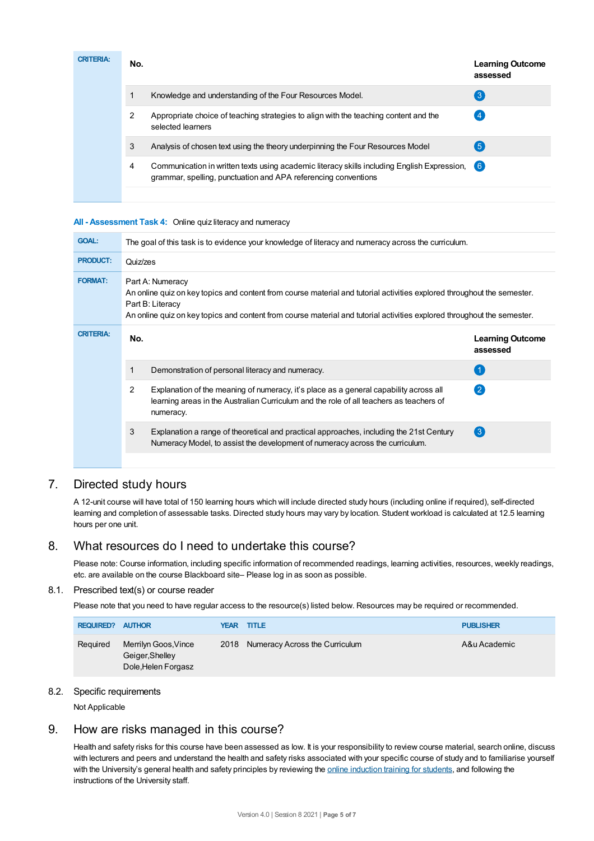| <b>CRITERIA:</b> | No. |                                                                                                                                                               | <b>Learning Outcome</b><br>assessed |
|------------------|-----|---------------------------------------------------------------------------------------------------------------------------------------------------------------|-------------------------------------|
|                  |     | Knowledge and understanding of the Four Resources Model.                                                                                                      | 3                                   |
|                  | 2   | Appropriate choice of teaching strategies to align with the teaching content and the<br>selected learners                                                     |                                     |
|                  | 3   | Analysis of chosen text using the theory underpinning the Four Resources Model                                                                                | $\sqrt{5}$                          |
|                  | 4   | Communication in written texts using academic literacy skills including English Expression,<br>grammar, spelling, punctuation and APA referencing conventions | (6)                                 |
|                  |     |                                                                                                                                                               |                                     |

#### **All - Assessment Task 4:** Online quiz literacy and numeracy

| <b>GOAL:</b>     | The goal of this task is to evidence your knowledge of literacy and numeracy across the curriculum. |                                                                                                                                                                                                                                                                                            |                                     |  |  |  |
|------------------|-----------------------------------------------------------------------------------------------------|--------------------------------------------------------------------------------------------------------------------------------------------------------------------------------------------------------------------------------------------------------------------------------------------|-------------------------------------|--|--|--|
| <b>PRODUCT:</b>  |                                                                                                     | Quiz/zes                                                                                                                                                                                                                                                                                   |                                     |  |  |  |
| <b>FORMAT:</b>   |                                                                                                     | Part A: Numeracy<br>An online quiz on key topics and content from course material and tutorial activities explored throughout the semester.<br>Part B: Literacy<br>An online quiz on key topics and content from course material and tutorial activities explored throughout the semester. |                                     |  |  |  |
| <b>CRITERIA:</b> | No.                                                                                                 |                                                                                                                                                                                                                                                                                            | <b>Learning Outcome</b><br>assessed |  |  |  |
|                  |                                                                                                     | Demonstration of personal literacy and numeracy.                                                                                                                                                                                                                                           |                                     |  |  |  |
|                  | $\mathcal{P}$                                                                                       | Explanation of the meaning of numeracy, it's place as a general capability across all<br>learning areas in the Australian Curriculum and the role of all teachers as teachers of<br>numeracy.                                                                                              | (2)                                 |  |  |  |
|                  | 3                                                                                                   | Explanation a range of theoretical and practical approaches, including the 21st Century<br>Numeracy Model, to assist the development of numeracy across the curriculum.                                                                                                                    | $\left(3\right)$                    |  |  |  |
|                  |                                                                                                     |                                                                                                                                                                                                                                                                                            |                                     |  |  |  |

## 7. Directed study hours

A 12-unit course will have total of 150 learning hours which will include directed study hours (including online if required), self-directed learning and completion of assessable tasks. Directed study hours may vary by location. Student workload is calculated at 12.5 learning hours per one unit.

## 8. What resources do I need to undertake this course?

Please note: Course information, including specific information of recommended readings, learning activities, resources, weekly readings, etc. are available on the course Blackboard site– Please log in as soon as possible.

#### 8.1. Prescribed text(s) or course reader

Please note that you need to have regular access to the resource(s) listed below. Resources may be required or recommended.

| <b>REQUIRED?</b> | <b>AUTHOR</b>                                                  |  | <b>YEAR TITLE</b>                      | <b>PUBLISHER</b> |
|------------------|----------------------------------------------------------------|--|----------------------------------------|------------------|
| Reguired         | Merrilyn Goos, Vince<br>Geiger, Shelley<br>Dole, Helen Forgasz |  | Numeracy Across the Curriculum<br>2018 | A&u Academic     |

#### 8.2. Specific requirements

Not Applicable

## 9. How are risks managed in this course?

Health and safety risks for this course have been assessed as low. It is your responsibility to review course material, search online, discuss with lecturers and peers and understand the health and safety risks associated with your specific course of study and to familiarise yourself with the University's general health and safety principles by reviewing the **online [induction](https://online.usc.edu.au/webapps/blackboard/content/listContentEditable.jsp?content_id=_632657_1&course_id=_14432_1) training for students**, and following the instructions of the University staff.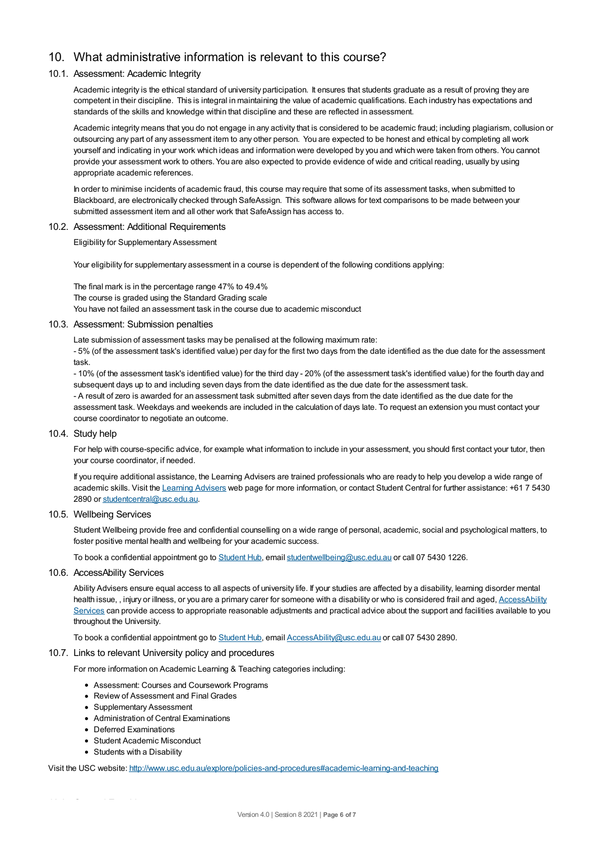## 10. What administrative information is relevant to this course?

## 10.1. Assessment: Academic Integrity

Academic integrity is the ethical standard of university participation. It ensures that students graduate as a result of proving they are competent in their discipline. This is integral in maintaining the value of academic qualifications. Each industry has expectations and standards of the skills and knowledge within that discipline and these are reflected in assessment.

Academic integrity means that you do not engage in any activity that is considered to be academic fraud; including plagiarism, collusion or outsourcing any part of any assessment item to any other person. You are expected to be honest and ethical by completing all work yourself and indicating in your work which ideas and information were developed by you and which were taken from others. You cannot provide your assessment work to others.You are also expected to provide evidence of wide and critical reading, usually by using appropriate academic references.

In order to minimise incidents of academic fraud, this course may require that some of its assessment tasks, when submitted to Blackboard, are electronically checked through SafeAssign. This software allows for text comparisons to be made between your submitted assessment item and all other work that SafeAssign has access to.

#### 10.2. Assessment: Additional Requirements

Eligibility for Supplementary Assessment

Your eligibility for supplementary assessment in a course is dependent of the following conditions applying:

The final mark is in the percentage range 47% to 49.4% The course is graded using the Standard Grading scale You have not failed an assessment task in the course due to academic misconduct

#### 10.3. Assessment: Submission penalties

Late submission of assessment tasks may be penalised at the following maximum rate:

- 5% (of the assessment task's identified value) per day for the first two days from the date identified as the due date for the assessment task.

- 10% (of the assessment task's identified value) for the third day - 20% (of the assessment task's identified value) for the fourth day and subsequent days up to and including seven days from the date identified as the due date for the assessment task.

- A result of zero is awarded for an assessment task submitted after seven days from the date identified as the due date for the assessment task. Weekdays and weekends are included in the calculation of days late. To request an extension you must contact your course coordinator to negotiate an outcome.

#### 10.4. Study help

For help with course-specific advice, for example what information to include in your assessment, you should first contact your tutor, then your course coordinator, if needed.

If you require additional assistance, the Learning Advisers are trained professionals who are ready to help you develop a wide range of academic skills. Visit the [Learning](https://www.usc.edu.au/current-students/student-support/academic-and-study-support/learning-advisers) Advisers web page for more information, or contact Student Central for further assistance: +61 7 5430 2890 or [studentcentral@usc.edu.au](mailto:studentcentral@usc.edu.au).

## 10.5. Wellbeing Services

Student Wellbeing provide free and confidential counselling on a wide range of personal, academic, social and psychological matters, to foster positive mental health and wellbeing for your academic success.

To book a confidential appointment go to [Student](https://studenthub.usc.edu.au/) Hub, email [studentwellbeing@usc.edu.au](mailto:studentwellbeing@usc.edu.au) or call 07 5430 1226.

## 10.6. AccessAbility Services

Ability Advisers ensure equal access to all aspects of university life. If your studies are affected by a disability, learning disorder mental health issue,, injury or illness, or you are a primary carer for someone with a disability or who is considered frail and aged, [AccessAbility](https://www.usc.edu.au/learn/student-support/accessability-services/documentation-requirements) Services can provide access to appropriate reasonable adjustments and practical advice about the support and facilities available to you throughout the University.

To book a confidential appointment go to [Student](https://studenthub.usc.edu.au/) Hub, email [AccessAbility@usc.edu.au](mailto:AccessAbility@usc.edu.au) or call 07 5430 2890.

#### 10.7. Links to relevant University policy and procedures

For more information on Academic Learning & Teaching categories including:

- Assessment: Courses and Coursework Programs
- Review of Assessment and Final Grades
- Supplementary Assessment
- Administration of Central Examinations
- Deferred Examinations
- Student Academic Misconduct
- Students with a Disability

Visit the USC website: <http://www.usc.edu.au/explore/policies-and-procedures#academic-learning-and-teaching>